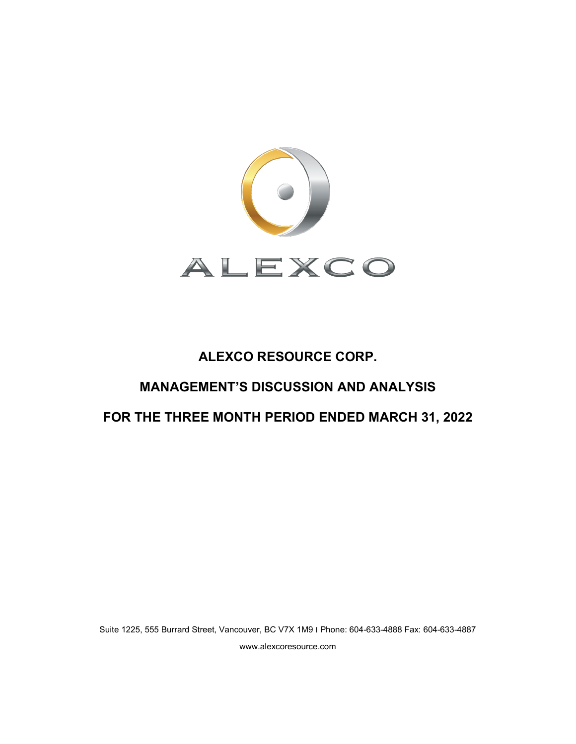

# **ALEXCO RESOURCE CORP.**

# **MANAGEMENT'S DISCUSSION AND ANALYSIS**

# **FOR THE THREE MONTH PERIOD ENDED MARCH 31, 2022**

Suite 1225, 555 Burrard Street, Vancouver, BC V7X 1M9 ׀ Phone: 604-633-4888 Fax: 604-633-4887 www.alexcoresource.com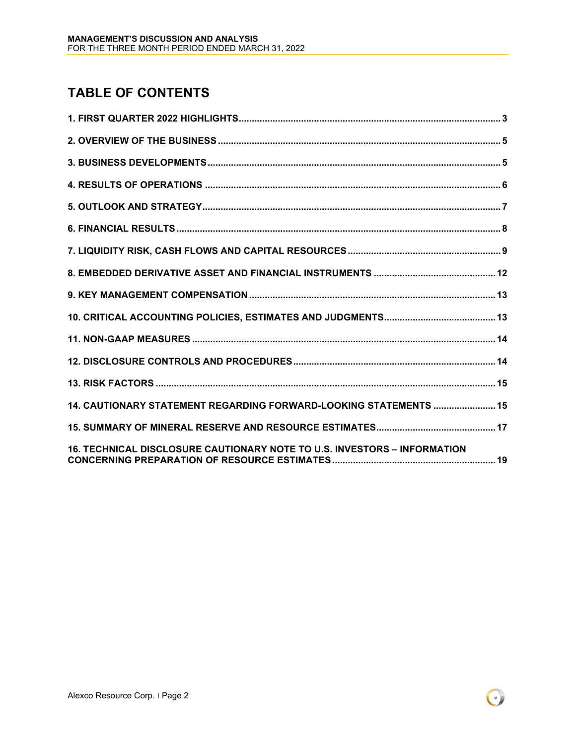# **TABLE OF CONTENTS**

| 14. CAUTIONARY STATEMENT REGARDING FORWARD-LOOKING STATEMENTS  15        |
|--------------------------------------------------------------------------|
|                                                                          |
| 16. TECHNICAL DISCLOSURE CAUTIONARY NOTE TO U.S. INVESTORS - INFORMATION |

 $\left( \cdot \right)$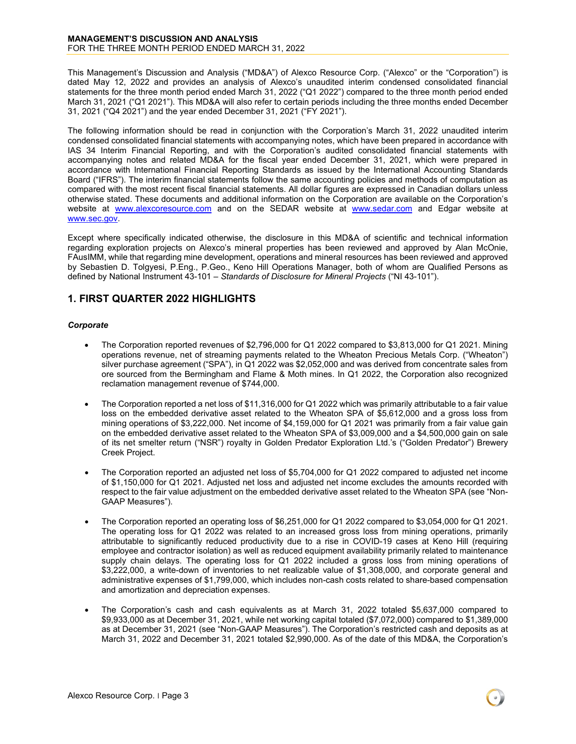This Management's Discussion and Analysis ("MD&A") of Alexco Resource Corp. ("Alexco" or the "Corporation") is dated May 12, 2022 and provides an analysis of Alexco's unaudited interim condensed consolidated financial statements for the three month period ended March 31, 2022 ("Q1 2022") compared to the three month period ended March 31, 2021 ("Q1 2021"). This MD&A will also refer to certain periods including the three months ended December 31, 2021 ("Q4 2021") and the year ended December 31, 2021 ("FY 2021").

The following information should be read in conjunction with the Corporation's March 31, 2022 unaudited interim condensed consolidated financial statements with accompanying notes, which have been prepared in accordance with IAS 34 Interim Financial Reporting, and with the Corporation's audited consolidated financial statements with accompanying notes and related MD&A for the fiscal year ended December 31, 2021, which were prepared in accordance with International Financial Reporting Standards as issued by the International Accounting Standards Board ("IFRS"). The interim financial statements follow the same accounting policies and methods of computation as compared with the most recent fiscal financial statements. All dollar figures are expressed in Canadian dollars unless otherwise stated. These documents and additional information on the Corporation are available on the Corporation's website at [www.alexcoresource.com](http://www.alexcoresource.com/) and on the SEDAR website at [www.sedar.com](http://www.sedar.coma/) and Edgar website at [www.sec.gov.](http://www.sec.gov/)

Except where specifically indicated otherwise, the disclosure in this MD&A of scientific and technical information regarding exploration projects on Alexco's mineral properties has been reviewed and approved by Alan McOnie, FAusIMM, while that regarding mine development, operations and mineral resources has been reviewed and approved by Sebastien D. Tolgyesi, P.Eng., P.Geo., Keno Hill Operations Manager, both of whom are Qualified Persons as defined by National Instrument 43-101 – *Standards of Disclosure for Mineral Projects* ("NI 43-101").

# <span id="page-2-0"></span>**1. FIRST QUARTER 2022 HIGHLIGHTS**

#### *Corporate*

- The Corporation reported revenues of \$2,796,000 for Q1 2022 compared to \$3,813,000 for Q1 2021. Mining operations revenue, net of streaming payments related to the Wheaton Precious Metals Corp. ("Wheaton") silver purchase agreement ("SPA"), in Q1 2022 was \$2,052,000 and was derived from concentrate sales from ore sourced from the Bermingham and Flame & Moth mines. In Q1 2022, the Corporation also recognized reclamation management revenue of \$744,000.
- The Corporation reported a net loss of \$11,316,000 for Q1 2022 which was primarily attributable to a fair value loss on the embedded derivative asset related to the Wheaton SPA of \$5,612,000 and a gross loss from mining operations of \$3,222,000. Net income of \$4,159,000 for Q1 2021 was primarily from a fair value gain on the embedded derivative asset related to the Wheaton SPA of \$3,009,000 and a \$4,500,000 gain on sale of its net smelter return ("NSR") royalty in Golden Predator Exploration Ltd.'s ("Golden Predator") Brewery Creek Project.
- The Corporation reported an adjusted net loss of \$5,704,000 for Q1 2022 compared to adjusted net income of \$1,150,000 for Q1 2021. Adjusted net loss and adjusted net income excludes the amounts recorded with respect to the fair value adjustment on the embedded derivative asset related to the Wheaton SPA (see "Non-GAAP Measures").
- The Corporation reported an operating loss of \$6,251,000 for Q1 2022 compared to \$3,054,000 for Q1 2021. The operating loss for Q1 2022 was related to an increased gross loss from mining operations, primarily attributable to significantly reduced productivity due to a rise in COVID-19 cases at Keno Hill (requiring employee and contractor isolation) as well as reduced equipment availability primarily related to maintenance supply chain delays. The operating loss for Q1 2022 included a gross loss from mining operations of \$3,222,000, a write-down of inventories to net realizable value of \$1,308,000, and corporate general and administrative expenses of \$1,799,000, which includes non-cash costs related to share-based compensation and amortization and depreciation expenses.
- The Corporation's cash and cash equivalents as at March 31, 2022 totaled \$5,637,000 compared to \$9,933,000 as at December 31, 2021, while net working capital totaled (\$7,072,000) compared to \$1,389,000 as at December 31, 2021 (see "Non-GAAP Measures"). The Corporation's restricted cash and deposits as at March 31, 2022 and December 31, 2021 totaled \$2,990,000. As of the date of this MD&A, the Corporation's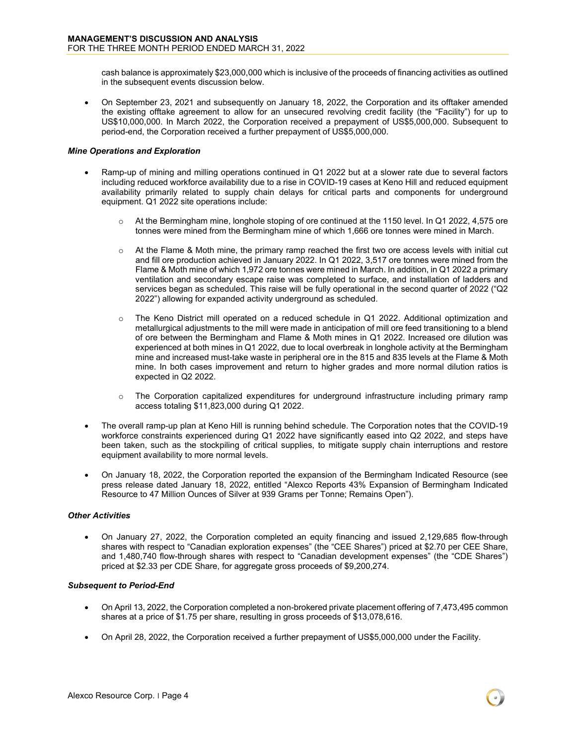cash balance is approximately \$23,000,000 which is inclusive of the proceeds of financing activities as outlined in the subsequent events discussion below.

• On September 23, 2021 and subsequently on January 18, 2022, the Corporation and its offtaker amended the existing offtake agreement to allow for an unsecured revolving credit facility (the "Facility") for up to US\$10,000,000. In March 2022, the Corporation received a prepayment of US\$5,000,000. Subsequent to period-end, the Corporation received a further prepayment of US\$5,000,000.

#### *Mine Operations and Exploration*

- Ramp-up of mining and milling operations continued in Q1 2022 but at a slower rate due to several factors including reduced workforce availability due to a rise in COVID-19 cases at Keno Hill and reduced equipment availability primarily related to supply chain delays for critical parts and components for underground equipment. Q1 2022 site operations include:
	- $\circ$  At the Bermingham mine, longhole stoping of ore continued at the 1150 level. In Q1 2022, 4,575 ore tonnes were mined from the Bermingham mine of which 1,666 ore tonnes were mined in March.
	- $\circ$  At the Flame & Moth mine, the primary ramp reached the first two ore access levels with initial cut and fill ore production achieved in January 2022. In Q1 2022, 3,517 ore tonnes were mined from the Flame & Moth mine of which 1,972 ore tonnes were mined in March. In addition, in Q1 2022 a primary ventilation and secondary escape raise was completed to surface, and installation of ladders and services began as scheduled. This raise will be fully operational in the second quarter of 2022 ("Q2 2022") allowing for expanded activity underground as scheduled.
	- o The Keno District mill operated on a reduced schedule in Q1 2022. Additional optimization and metallurgical adjustments to the mill were made in anticipation of mill ore feed transitioning to a blend of ore between the Bermingham and Flame & Moth mines in Q1 2022. Increased ore dilution was experienced at both mines in Q1 2022, due to local overbreak in longhole activity at the Bermingham mine and increased must-take waste in peripheral ore in the 815 and 835 levels at the Flame & Moth mine. In both cases improvement and return to higher grades and more normal dilution ratios is expected in Q2 2022.
	- $\circ$  The Corporation capitalized expenditures for underground infrastructure including primary ramp access totaling \$11,823,000 during Q1 2022.
- The overall ramp-up plan at Keno Hill is running behind schedule. The Corporation notes that the COVID-19 workforce constraints experienced during Q1 2022 have significantly eased into Q2 2022, and steps have been taken, such as the stockpiling of critical supplies, to mitigate supply chain interruptions and restore equipment availability to more normal levels.
- On January 18, 2022, the Corporation reported the expansion of the Bermingham Indicated Resource (see press release dated January 18, 2022, entitled "Alexco Reports 43% Expansion of Bermingham Indicated Resource to 47 Million Ounces of Silver at 939 Grams per Tonne; Remains Open").

#### *Other Activities*

• On January 27, 2022, the Corporation completed an equity financing and issued 2,129,685 flow-through shares with respect to "Canadian exploration expenses" (the "CEE Shares") priced at \$2.70 per CEE Share, and 1,480,740 flow-through shares with respect to "Canadian development expenses" (the "CDE Shares") priced at \$2.33 per CDE Share, for aggregate gross proceeds of \$9,200,274.

#### *Subsequent to Period-End*

- On April 13, 2022, the Corporation completed a non-brokered private placement offering of 7,473,495 common shares at a price of \$1.75 per share, resulting in gross proceeds of \$13,078,616.
- On April 28, 2022, the Corporation received a further prepayment of US\$5,000,000 under the Facility.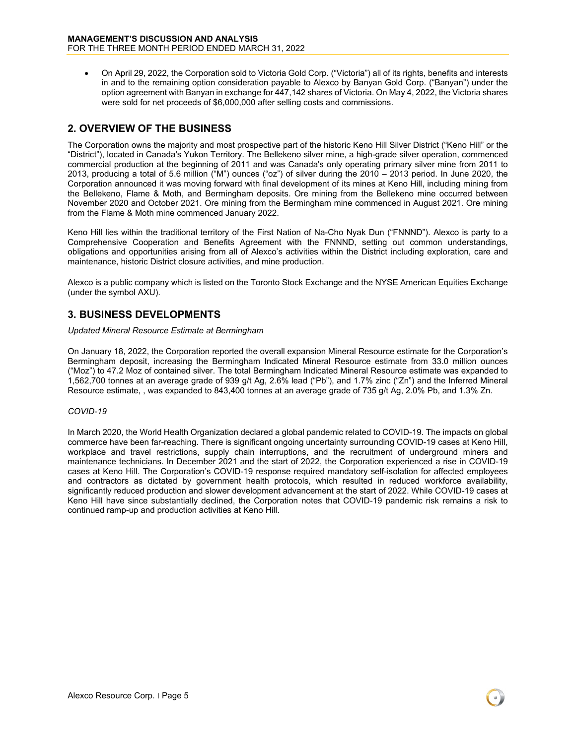• On April 29, 2022, the Corporation sold to Victoria Gold Corp. ("Victoria") all of its rights, benefits and interests in and to the remaining option consideration payable to Alexco by Banyan Gold Corp. ("Banyan") under the option agreement with Banyan in exchange for 447,142 shares of Victoria. On May 4, 2022, the Victoria shares were sold for net proceeds of \$6,000,000 after selling costs and commissions.

# <span id="page-4-0"></span>**2. OVERVIEW OF THE BUSINESS**

The Corporation owns the majority and most prospective part of the historic Keno Hill Silver District ("Keno Hill" or the "District"), located in Canada's Yukon Territory. The Bellekeno silver mine, a high-grade silver operation, commenced commercial production at the beginning of 2011 and was Canada's only operating primary silver mine from 2011 to 2013, producing a total of 5.6 million ("M") ounces ("oz") of silver during the 2010 – 2013 period. In June 2020, the Corporation announced it was moving forward with final development of its mines at Keno Hill, including mining from the Bellekeno, Flame & Moth, and Bermingham deposits. Ore mining from the Bellekeno mine occurred between November 2020 and October 2021. Ore mining from the Bermingham mine commenced in August 2021. Ore mining from the Flame & Moth mine commenced January 2022.

Keno Hill lies within the traditional territory of the First Nation of Na-Cho Nyak Dun ("FNNND"). Alexco is party to a Comprehensive Cooperation and Benefits Agreement with the FNNND, setting out common understandings, obligations and opportunities arising from all of Alexco's activities within the District including exploration, care and maintenance, historic District closure activities, and mine production.

Alexco is a public company which is listed on the Toronto Stock Exchange and the NYSE American Equities Exchange (under the symbol AXU).

# <span id="page-4-1"></span>**3. BUSINESS DEVELOPMENTS**

*Updated Mineral Resource Estimate at Bermingham*

On January 18, 2022, the Corporation reported the overall expansion Mineral Resource estimate for the Corporation's Bermingham deposit, increasing the Bermingham Indicated Mineral Resource estimate from 33.0 million ounces ("Moz") to 47.2 Moz of contained silver. The total Bermingham Indicated Mineral Resource estimate was expanded to 1,562,700 tonnes at an average grade of 939 g/t Ag, 2.6% lead ("Pb"), and 1.7% zinc ("Zn") and the Inferred Mineral Resource estimate, , was expanded to 843,400 tonnes at an average grade of 735 g/t Ag, 2.0% Pb, and 1.3% Zn.

#### *COVID-19*

In March 2020, the World Health Organization declared a global pandemic related to COVID-19. The impacts on global commerce have been far-reaching. There is significant ongoing uncertainty surrounding COVID-19 cases at Keno Hill, workplace and travel restrictions, supply chain interruptions, and the recruitment of underground miners and maintenance technicians. In December 2021 and the start of 2022, the Corporation experienced a rise in COVID-19 cases at Keno Hill. The Corporation's COVID-19 response required mandatory self-isolation for affected employees and contractors as dictated by government health protocols, which resulted in reduced workforce availability, significantly reduced production and slower development advancement at the start of 2022. While COVID-19 cases at Keno Hill have since substantially declined, the Corporation notes that COVID-19 pandemic risk remains a risk to continued ramp-up and production activities at Keno Hill.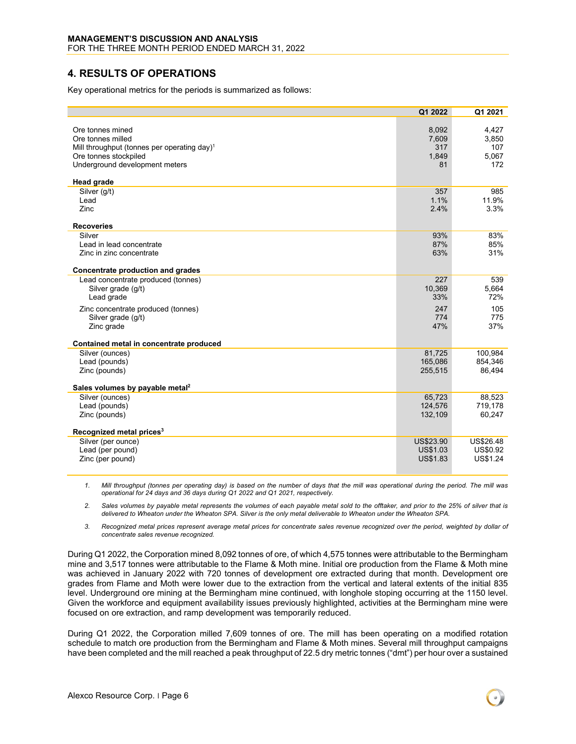### <span id="page-5-0"></span>**4. RESULTS OF OPERATIONS**

Key operational metrics for the periods is summarized as follows:

|                                                         | Q1 2022         | Q1 2021   |
|---------------------------------------------------------|-----------------|-----------|
|                                                         |                 |           |
| Ore tonnes mined                                        | 8,092           | 4,427     |
| Ore tonnes milled                                       | 7,609           | 3,850     |
| Mill throughput (tonnes per operating day) <sup>1</sup> | 317             | 107       |
| Ore tonnes stockpiled                                   | 1,849           | 5,067     |
| Underground development meters                          | 81              | 172       |
| <b>Head grade</b>                                       |                 |           |
| Silver (g/t)                                            | 357             | 985       |
| Lead                                                    | 1.1%            | 11.9%     |
| Zinc                                                    | 2.4%            | 3.3%      |
| <b>Recoveries</b>                                       |                 |           |
| Silver                                                  | 93%             | 83%       |
| Lead in lead concentrate                                | 87%             | 85%       |
| Zinc in zinc concentrate                                | 63%             | 31%       |
|                                                         |                 |           |
| Concentrate production and grades                       |                 |           |
| Lead concentrate produced (tonnes)                      | 227             | 539       |
| Silver grade (g/t)                                      | 10,369          | 5,664     |
| Lead grade                                              | 33%             | 72%       |
| Zinc concentrate produced (tonnes)                      | 247             | 105       |
| Silver grade (g/t)                                      | 774             | 775       |
| Zinc grade                                              | 47%             | 37%       |
| Contained metal in concentrate produced                 |                 |           |
| Silver (ounces)                                         | 81,725          | 100.984   |
| Lead (pounds)                                           | 165,086         | 854.346   |
| Zinc (pounds)                                           | 255,515         | 86,494    |
|                                                         |                 |           |
| Sales volumes by payable metal <sup>2</sup>             |                 |           |
| Silver (ounces)                                         | 65,723          | 88,523    |
| Lead (pounds)                                           | 124,576         | 719,178   |
| Zinc (pounds)                                           | 132,109         | 60,247    |
| Recognized metal prices <sup>3</sup>                    |                 |           |
| Silver (per ounce)                                      | US\$23.90       | US\$26.48 |
| Lead (per pound)                                        | US\$1.03        | US\$0.92  |
| Zinc (per pound)                                        | <b>US\$1.83</b> | US\$1.24  |
|                                                         |                 |           |

*1. Mill throughput (tonnes per operating day) is based on the number of days that the mill was operational during the period. The mill was operational for 24 days and 36 days during Q1 2022 and Q1 2021, respectively.*

*2. Sales volumes by payable metal represents the volumes of each payable metal sold to the offtaker, and prior to the 25% of silver that is delivered to Wheaton under the Wheaton SPA. Silver is the only metal deliverable to Wheaton under the Wheaton SPA.*

*3. Recognized metal prices represent average metal prices for concentrate sales revenue recognized over the period, weighted by dollar of concentrate sales revenue recognized.*

During Q1 2022, the Corporation mined 8,092 tonnes of ore, of which 4,575 tonnes were attributable to the Bermingham mine and 3,517 tonnes were attributable to the Flame & Moth mine. Initial ore production from the Flame & Moth mine was achieved in January 2022 with 720 tonnes of development ore extracted during that month. Development ore grades from Flame and Moth were lower due to the extraction from the vertical and lateral extents of the initial 835 level. Underground ore mining at the Bermingham mine continued, with longhole stoping occurring at the 1150 level. Given the workforce and equipment availability issues previously highlighted, activities at the Bermingham mine were focused on ore extraction, and ramp development was temporarily reduced.

During Q1 2022, the Corporation milled 7,609 tonnes of ore. The mill has been operating on a modified rotation schedule to match ore production from the Bermingham and Flame & Moth mines. Several mill throughput campaigns have been completed and the mill reached a peak throughput of 22.5 dry metric tonnes ("dmt") per hour over a sustained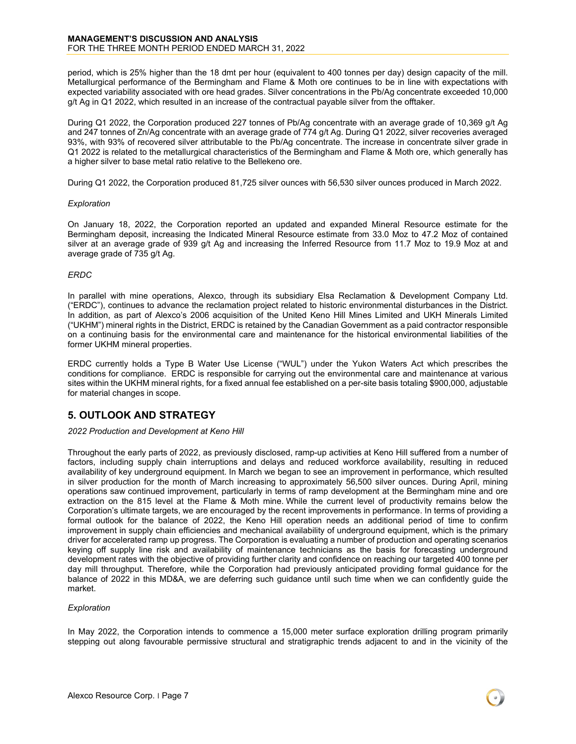period, which is 25% higher than the 18 dmt per hour (equivalent to 400 tonnes per day) design capacity of the mill. Metallurgical performance of the Bermingham and Flame & Moth ore continues to be in line with expectations with expected variability associated with ore head grades. Silver concentrations in the Pb/Ag concentrate exceeded 10,000 g/t Ag in Q1 2022, which resulted in an increase of the contractual payable silver from the offtaker.

During Q1 2022, the Corporation produced 227 tonnes of Pb/Ag concentrate with an average grade of 10,369 g/t Ag and 247 tonnes of Zn/Ag concentrate with an average grade of 774 g/t Ag. During Q1 2022, silver recoveries averaged 93%, with 93% of recovered silver attributable to the Pb/Ag concentrate. The increase in concentrate silver grade in Q1 2022 is related to the metallurgical characteristics of the Bermingham and Flame & Moth ore, which generally has a higher silver to base metal ratio relative to the Bellekeno ore.

During Q1 2022, the Corporation produced 81,725 silver ounces with 56,530 silver ounces produced in March 2022.

#### *Exploration*

On January 18, 2022, the Corporation reported an updated and expanded Mineral Resource estimate for the Bermingham deposit, increasing the Indicated Mineral Resource estimate from 33.0 Moz to 47.2 Moz of contained silver at an average grade of 939 g/t Ag and increasing the Inferred Resource from 11.7 Moz to 19.9 Moz at and average grade of 735 g/t Ag.

#### *ERDC*

In parallel with mine operations, Alexco, through its subsidiary Elsa Reclamation & Development Company Ltd. ("ERDC"), continues to advance the reclamation project related to historic environmental disturbances in the District. In addition, as part of Alexco's 2006 acquisition of the United Keno Hill Mines Limited and UKH Minerals Limited ("UKHM") mineral rights in the District, ERDC is retained by the Canadian Government as a paid contractor responsible on a continuing basis for the environmental care and maintenance for the historical environmental liabilities of the former UKHM mineral properties.

ERDC currently holds a Type B Water Use License ("WUL") under the Yukon Waters Act which prescribes the conditions for compliance. ERDC is responsible for carrying out the environmental care and maintenance at various sites within the UKHM mineral rights, for a fixed annual fee established on a per-site basis totaling \$900,000, adjustable for material changes in scope.

# <span id="page-6-0"></span>**5. OUTLOOK AND STRATEGY**

#### *2022 Production and Development at Keno Hill*

Throughout the early parts of 2022, as previously disclosed, ramp-up activities at Keno Hill suffered from a number of factors, including supply chain interruptions and delays and reduced workforce availability, resulting in reduced availability of key underground equipment. In March we began to see an improvement in performance, which resulted in silver production for the month of March increasing to approximately 56,500 silver ounces. During April, mining operations saw continued improvement, particularly in terms of ramp development at the Bermingham mine and ore extraction on the 815 level at the Flame & Moth mine. While the current level of productivity remains below the Corporation's ultimate targets, we are encouraged by the recent improvements in performance. In terms of providing a formal outlook for the balance of 2022, the Keno Hill operation needs an additional period of time to confirm improvement in supply chain efficiencies and mechanical availability of underground equipment, which is the primary driver for accelerated ramp up progress. The Corporation is evaluating a number of production and operating scenarios keying off supply line risk and availability of maintenance technicians as the basis for forecasting underground development rates with the objective of providing further clarity and confidence on reaching our targeted 400 tonne per day mill throughput*.* Therefore, while the Corporation had previously anticipated providing formal guidance for the balance of 2022 in this MD&A, we are deferring such guidance until such time when we can confidently guide the market.

#### *Exploration*

In May 2022, the Corporation intends to commence a 15,000 meter surface exploration drilling program primarily stepping out along favourable permissive structural and stratigraphic trends adjacent to and in the vicinity of the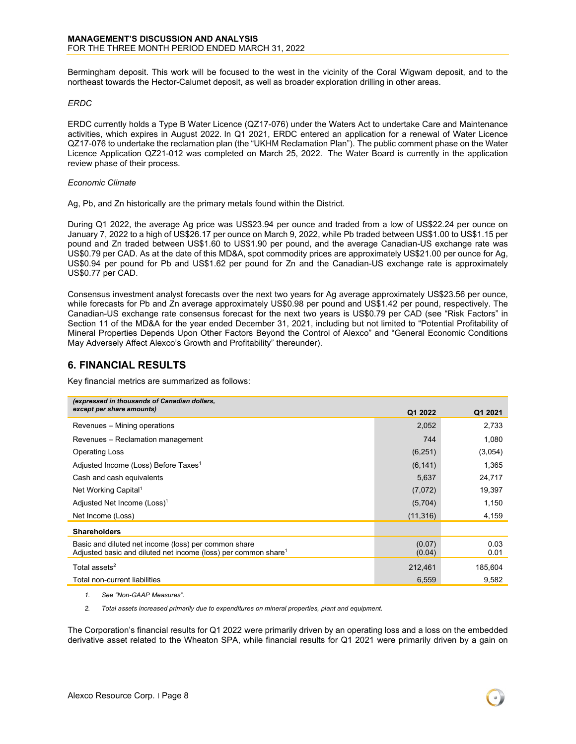Bermingham deposit. This work will be focused to the west in the vicinity of the Coral Wigwam deposit, and to the northeast towards the Hector-Calumet deposit, as well as broader exploration drilling in other areas.

#### *ERDC*

ERDC currently holds a Type B Water Licence (QZ17-076) under the Waters Act to undertake Care and Maintenance activities, which expires in August 2022. In Q1 2021, ERDC entered an application for a renewal of Water Licence QZ17-076 to undertake the reclamation plan (the "UKHM Reclamation Plan"). The public comment phase on the Water Licence Application QZ21-012 was completed on March 25, 2022. The Water Board is currently in the application review phase of their process.

#### *Economic Climate*

Ag, Pb, and Zn historically are the primary metals found within the District.

During Q1 2022, the average Ag price was US\$23.94 per ounce and traded from a low of US\$22.24 per ounce on January 7, 2022 to a high of US\$26.17 per ounce on March 9, 2022, while Pb traded between US\$1.00 to US\$1.15 per pound and Zn traded between US\$1.60 to US\$1.90 per pound, and the average Canadian-US exchange rate was US\$0.79 per CAD. As at the date of this MD&A, spot commodity prices are approximately US\$21.00 per ounce for Ag, US\$0.94 per pound for Pb and US\$1.62 per pound for Zn and the Canadian-US exchange rate is approximately US\$0.77 per CAD.

Consensus investment analyst forecasts over the next two years for Ag average approximately US\$23.56 per ounce, while forecasts for Pb and Zn average approximately US\$0.98 per pound and US\$1.42 per pound, respectively. The Canadian-US exchange rate consensus forecast for the next two years is US\$0.79 per CAD (see "Risk Factors" in Section 11 of the MD&A for the year ended December 31, 2021, including but not limited to "Potential Profitability of Mineral Properties Depends Upon Other Factors Beyond the Control of Alexco" and "General Economic Conditions May Adversely Affect Alexco's Growth and Profitability" thereunder).

### <span id="page-7-0"></span>**6. FINANCIAL RESULTS**

Key financial metrics are summarized as follows:

| (expressed in thousands of Canadian dollars,                                                                                       |                  |              |
|------------------------------------------------------------------------------------------------------------------------------------|------------------|--------------|
| except per share amounts)                                                                                                          | Q1 2022          | Q1 2021      |
| Revenues – Mining operations                                                                                                       | 2,052            | 2,733        |
| Revenues - Reclamation management                                                                                                  | 744              | 1,080        |
| <b>Operating Loss</b>                                                                                                              | (6, 251)         | (3,054)      |
| Adjusted Income (Loss) Before Taxes <sup>1</sup>                                                                                   | (6, 141)         | 1,365        |
| Cash and cash equivalents                                                                                                          | 5,637            | 24,717       |
| Net Working Capital <sup>1</sup>                                                                                                   | (7,072)          | 19,397       |
| Adjusted Net Income (Loss) <sup>1</sup>                                                                                            | (5,704)          | 1,150        |
| Net Income (Loss)                                                                                                                  | (11, 316)        | 4,159        |
| <b>Shareholders</b>                                                                                                                |                  |              |
| Basic and diluted net income (loss) per common share<br>Adjusted basic and diluted net income (loss) per common share <sup>1</sup> | (0.07)<br>(0.04) | 0.03<br>0.01 |
| Total assets <sup>2</sup>                                                                                                          | 212,461          | 185,604      |
| Total non-current liabilities                                                                                                      | 6,559            | 9,582        |

*1. See "Non-GAAP Measures".*

*2. Total assets increased primarily due to expenditures on mineral properties, plant and equipment.*

The Corporation's financial results for Q1 2022 were primarily driven by an operating loss and a loss on the embedded derivative asset related to the Wheaton SPA, while financial results for Q1 2021 were primarily driven by a gain on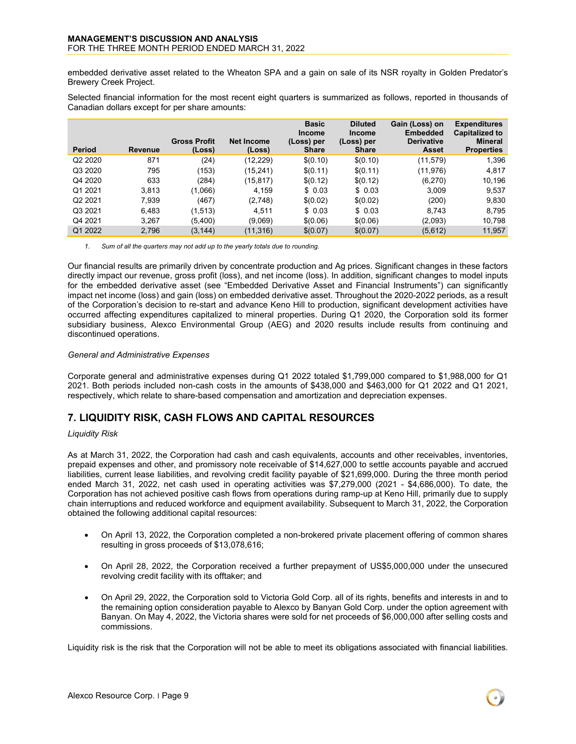embedded derivative asset related to the Wheaton SPA and a gain on sale of its NSR royalty in Golden Predator's Brewery Creek Project.

Selected financial information for the most recent eight quarters is summarized as follows, reported in thousands of Canadian dollars except for per share amounts:

|                     |         |                               |                             | <b>Basic</b><br><b>Income</b> | <b>Diluted</b><br><b>Income</b> | Gain (Loss) on<br><b>Embedded</b> | <b>Expenditures</b><br><b>Capitalized to</b> |
|---------------------|---------|-------------------------------|-----------------------------|-------------------------------|---------------------------------|-----------------------------------|----------------------------------------------|
| <b>Period</b>       | Revenue | <b>Gross Profit</b><br>(Loss) | <b>Net Income</b><br>(Loss) | (Loss) per<br><b>Share</b>    | (Loss) per<br><b>Share</b>      | <b>Derivative</b><br>Asset        | <b>Mineral</b><br><b>Properties</b>          |
| Q2 2020             | 871     | (24)                          | (12,229)                    | \$(0.10)                      | \$(0.10)                        | (11,579)                          | 1,396                                        |
| Q3 2020             | 795     | (153)                         | (15,241)                    | \$(0.11)                      | \$(0.11)                        | (11,976)                          | 4,817                                        |
| Q4 2020             | 633     | (284)                         | (15,817)                    | \$(0.12)                      | \$(0.12)                        | (6,270)                           | 10,196                                       |
| Q1 2021             | 3.813   | (1,066)                       | 4.159                       | \$0.03                        | \$0.03                          | 3.009                             | 9,537                                        |
| Q <sub>2</sub> 2021 | 7.939   | (467)                         | (2,748)                     | \$(0.02)                      | \$(0.02)                        | (200)                             | 9,830                                        |
| Q3 2021             | 6.483   | (1,513)                       | 4.511                       | \$0.03                        | \$0.03                          | 8,743                             | 8,795                                        |
| Q4 2021             | 3,267   | (5,400)                       | (9,069)                     | \$(0.06)                      | \$(0.06)                        | (2,093)                           | 10,798                                       |
| Q1 2022             | 2.796   | (3, 144)                      | (11, 316)                   | \$(0.07)                      | \$(0.07)                        | (5,612)                           | 11,957                                       |

*1. Sum of all the quarters may not add up to the yearly totals due to rounding.*

Our financial results are primarily driven by concentrate production and Ag prices. Significant changes in these factors directly impact our revenue, gross profit (loss), and net income (loss). In addition, significant changes to model inputs for the embedded derivative asset (see "Embedded Derivative Asset and Financial Instruments") can significantly impact net income (loss) and gain (loss) on embedded derivative asset. Throughout the 2020-2022 periods, as a result of the Corporation's decision to re-start and advance Keno Hill to production, significant development activities have occurred affecting expenditures capitalized to mineral properties. During Q1 2020, the Corporation sold its former subsidiary business, Alexco Environmental Group (AEG) and 2020 results include results from continuing and discontinued operations.

#### *General and Administrative Expenses*

Corporate general and administrative expenses during Q1 2022 totaled \$1,799,000 compared to \$1,988,000 for Q1 2021. Both periods included non-cash costs in the amounts of \$438,000 and \$463,000 for Q1 2022 and Q1 2021, respectively, which relate to share-based compensation and amortization and depreciation expenses.

# <span id="page-8-0"></span>**7. LIQUIDITY RISK, CASH FLOWS AND CAPITAL RESOURCES**

#### *Liquidity Risk*

As at March 31, 2022, the Corporation had cash and cash equivalents, accounts and other receivables, inventories, prepaid expenses and other, and promissory note receivable of \$14,627,000 to settle accounts payable and accrued liabilities, current lease liabilities, and revolving credit facility payable of \$21,699,000. During the three month period ended March 31, 2022, net cash used in operating activities was \$7,279,000 (2021 - \$4,686,000). To date, the Corporation has not achieved positive cash flows from operations during ramp-up at Keno Hill, primarily due to supply chain interruptions and reduced workforce and equipment availability. Subsequent to March 31, 2022, the Corporation obtained the following additional capital resources:

- On April 13, 2022, the Corporation completed a non-brokered private placement offering of common shares resulting in gross proceeds of \$13,078,616;
- On April 28, 2022, the Corporation received a further prepayment of US\$5,000,000 under the unsecured revolving credit facility with its offtaker; and
- On April 29, 2022, the Corporation sold to Victoria Gold Corp. all of its rights, benefits and interests in and to the remaining option consideration payable to Alexco by Banyan Gold Corp. under the option agreement with Banyan. On May 4, 2022, the Victoria shares were sold for net proceeds of \$6,000,000 after selling costs and commissions.

Liquidity risk is the risk that the Corporation will not be able to meet its obligations associated with financial liabilities.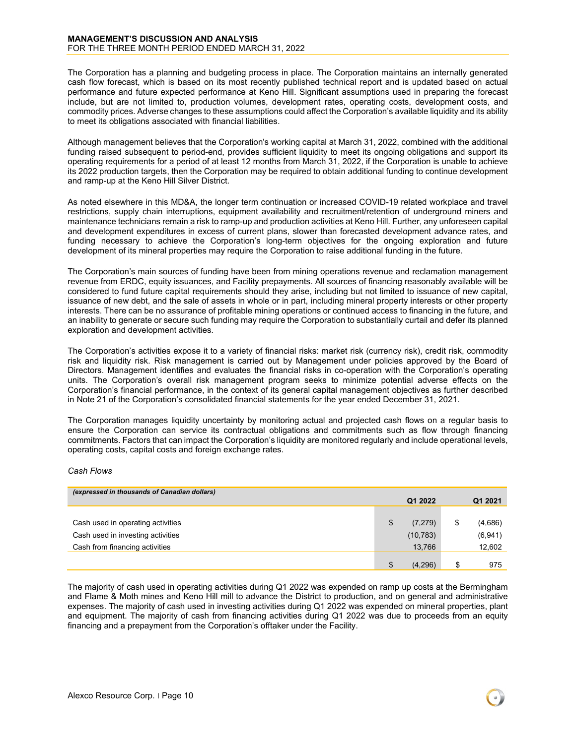The Corporation has a planning and budgeting process in place. The Corporation maintains an internally generated cash flow forecast, which is based on its most recently published technical report and is updated based on actual performance and future expected performance at Keno Hill. Significant assumptions used in preparing the forecast include, but are not limited to, production volumes, development rates, operating costs, development costs, and commodity prices. Adverse changes to these assumptions could affect the Corporation's available liquidity and its ability to meet its obligations associated with financial liabilities.

Although management believes that the Corporation's working capital at March 31, 2022, combined with the additional funding raised subsequent to period-end, provides sufficient liquidity to meet its ongoing obligations and support its operating requirements for a period of at least 12 months from March 31, 2022, if the Corporation is unable to achieve its 2022 production targets, then the Corporation may be required to obtain additional funding to continue development and ramp-up at the Keno Hill Silver District.

As noted elsewhere in this MD&A, the longer term continuation or increased COVID-19 related workplace and travel restrictions, supply chain interruptions, equipment availability and recruitment/retention of underground miners and maintenance technicians remain a risk to ramp-up and production activities at Keno Hill. Further, any unforeseen capital and development expenditures in excess of current plans, slower than forecasted development advance rates, and funding necessary to achieve the Corporation's long-term objectives for the ongoing exploration and future development of its mineral properties may require the Corporation to raise additional funding in the future.

The Corporation's main sources of funding have been from mining operations revenue and reclamation management revenue from ERDC, equity issuances, and Facility prepayments. All sources of financing reasonably available will be considered to fund future capital requirements should they arise, including but not limited to issuance of new capital, issuance of new debt, and the sale of assets in whole or in part, including mineral property interests or other property interests. There can be no assurance of profitable mining operations or continued access to financing in the future, and an inability to generate or secure such funding may require the Corporation to substantially curtail and defer its planned exploration and development activities.

The Corporation's activities expose it to a variety of financial risks: market risk (currency risk), credit risk, commodity risk and liquidity risk. Risk management is carried out by Management under policies approved by the Board of Directors. Management identifies and evaluates the financial risks in co-operation with the Corporation's operating units. The Corporation's overall risk management program seeks to minimize potential adverse effects on the Corporation's financial performance, in the context of its general capital management objectives as further described in Note 21 of the Corporation's consolidated financial statements for the year ended December 31, 2021.

The Corporation manages liquidity uncertainty by monitoring actual and projected cash flows on a regular basis to ensure the Corporation can service its contractual obligations and commitments such as flow through financing commitments. Factors that can impact the Corporation's liquidity are monitored regularly and include operational levels, operating costs, capital costs and foreign exchange rates.

#### *Cash Flows*

| (expressed in thousands of Canadian dollars) |  |           |    |         |  |  |  |  |
|----------------------------------------------|--|-----------|----|---------|--|--|--|--|
|                                              |  | Q1 2022   |    | Q1 2021 |  |  |  |  |
|                                              |  |           |    |         |  |  |  |  |
| Cash used in operating activities            |  | (7, 279)  | \$ | (4,686) |  |  |  |  |
| Cash used in investing activities            |  | (10, 783) |    | (6,941) |  |  |  |  |
| Cash from financing activities               |  | 13,766    |    | 12,602  |  |  |  |  |
|                                              |  |           |    |         |  |  |  |  |
|                                              |  | (4,296)   | \$ | 975     |  |  |  |  |

The majority of cash used in operating activities during Q1 2022 was expended on ramp up costs at the Bermingham and Flame & Moth mines and Keno Hill mill to advance the District to production, and on general and administrative expenses. The majority of cash used in investing activities during Q1 2022 was expended on mineral properties, plant and equipment. The majority of cash from financing activities during Q1 2022 was due to proceeds from an equity financing and a prepayment from the Corporation's offtaker under the Facility.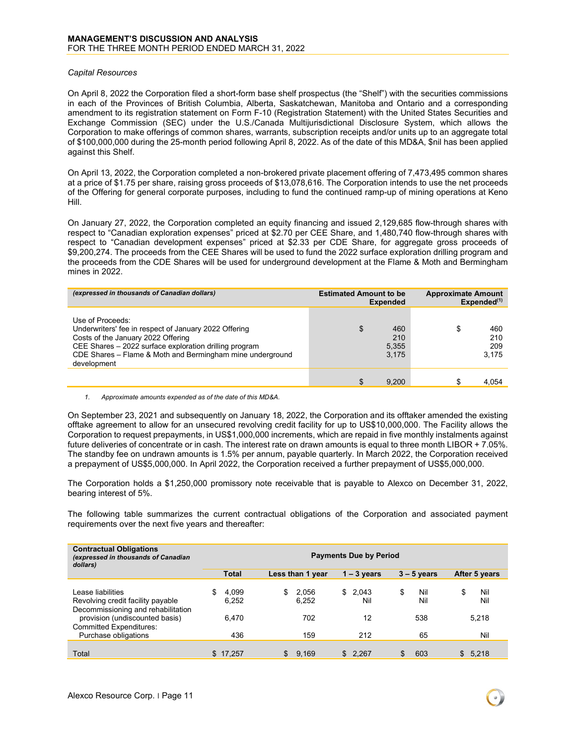#### *Capital Resources*

On April 8, 2022 the Corporation filed a short-form base shelf prospectus (the "Shelf") with the securities commissions in each of the Provinces of British Columbia, Alberta, Saskatchewan, Manitoba and Ontario and a corresponding amendment to its registration statement on Form F-10 (Registration Statement) with the United States Securities and Exchange Commission (SEC) under the U.S./Canada Multijurisdictional Disclosure System, which allows the Corporation to make offerings of common shares, warrants, subscription receipts and/or units up to an aggregate total of \$100,000,000 during the 25-month period following April 8, 2022. As of the date of this MD&A, \$nil has been applied against this Shelf.

On April 13, 2022, the Corporation completed a non-brokered private placement offering of 7,473,495 common shares at a price of \$1.75 per share, raising gross proceeds of \$13,078,616. The Corporation intends to use the net proceeds of the Offering for general corporate purposes, including to fund the continued ramp-up of mining operations at Keno Hill.

On January 27, 2022, the Corporation completed an equity financing and issued 2,129,685 flow-through shares with respect to "Canadian exploration expenses" priced at \$2.70 per CEE Share, and 1,480,740 flow-through shares with respect to "Canadian development expenses" priced at \$2.33 per CDE Share, for aggregate gross proceeds of \$9,200,274. The proceeds from the CEE Shares will be used to fund the 2022 surface exploration drilling program and the proceeds from the CDE Shares will be used for underground development at the Flame & Moth and Bermingham mines in 2022.

| (expressed in thousands of Canadian dollars)                                                                                                                                                                                                          | <b>Estimated Amount to be</b><br><b>Expended</b> | <b>Approximate Amount</b><br>$Expended^{(1)}$ |  |  |
|-------------------------------------------------------------------------------------------------------------------------------------------------------------------------------------------------------------------------------------------------------|--------------------------------------------------|-----------------------------------------------|--|--|
| Use of Proceeds:<br>Underwriters' fee in respect of January 2022 Offering<br>Costs of the January 2022 Offering<br>CEE Shares - 2022 surface exploration drilling program<br>CDE Shares - Flame & Moth and Bermingham mine underground<br>development | \$<br>460<br>210<br>5,355<br>3.175               | \$<br>460<br>210<br>209<br>3.175              |  |  |
|                                                                                                                                                                                                                                                       | 9.200<br>\$                                      | S<br>4.054                                    |  |  |

#### *1. Approximate amounts expended as of the date of this MD&A.*

On September 23, 2021 and subsequently on January 18, 2022, the Corporation and its offtaker amended the existing offtake agreement to allow for an unsecured revolving credit facility for up to US\$10,000,000. The Facility allows the Corporation to request prepayments, in US\$1,000,000 increments, which are repaid in five monthly instalments against future deliveries of concentrate or in cash. The interest rate on drawn amounts is equal to three month LIBOR + 7.05%. The standby fee on undrawn amounts is 1.5% per annum, payable quarterly. In March 2022, the Corporation received a prepayment of US\$5,000,000. In April 2022, the Corporation received a further prepayment of US\$5,000,000.

The Corporation holds a \$1,250,000 promissory note receivable that is payable to Alexco on December 31, 2022, bearing interest of 5%.

The following table summarizes the current contractual obligations of the Corporation and associated payment requirements over the next five years and thereafter:

| <b>Contractual Obligations</b><br>(expressed in thousands of Canadian<br>dollars)            | <b>Payments Due by Period</b> |                |    |                  |  |                |    |               |     |               |
|----------------------------------------------------------------------------------------------|-------------------------------|----------------|----|------------------|--|----------------|----|---------------|-----|---------------|
|                                                                                              |                               | <b>Total</b>   |    | Less than 1 year |  | $1 - 3$ years  |    | $3 - 5$ years |     | After 5 years |
| Lease liabilities<br>Revolving credit facility payable<br>Decommissioning and rehabilitation | \$.                           | 4.099<br>6,252 | \$ | 2,056<br>6,252   |  | \$2.043<br>Nil | \$ | Nil<br>Nil    | \$  | Nil<br>Nil    |
| provision (undiscounted basis)<br><b>Committed Expenditures:</b>                             |                               | 6.470          |    | 702              |  | 12             |    | 538           |     | 5,218         |
| Purchase obligations                                                                         |                               | 436            |    | 159              |  | 212            |    | 65            |     | Nil           |
| Total                                                                                        |                               | \$17.257       | \$ | 9.169            |  | \$2.267        | \$ | 603           | \$. | 5.218         |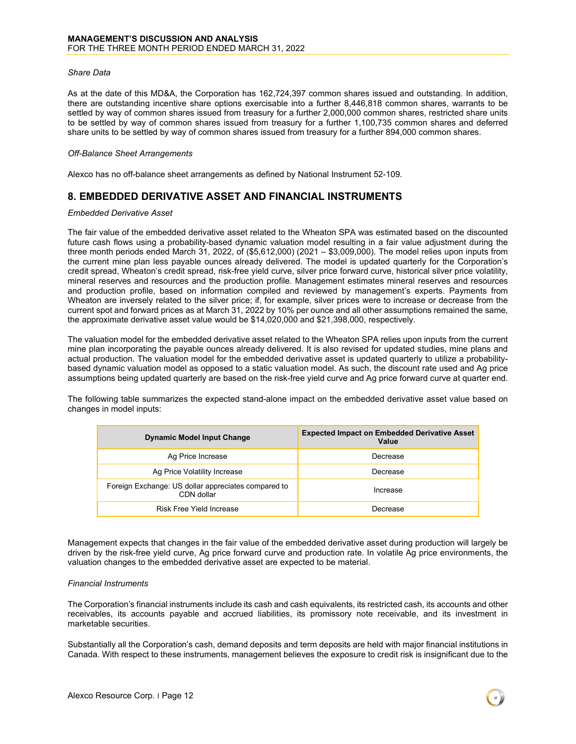#### *Share Data*

As at the date of this MD&A, the Corporation has 162,724,397 common shares issued and outstanding. In addition, there are outstanding incentive share options exercisable into a further 8,446,818 common shares, warrants to be settled by way of common shares issued from treasury for a further 2,000,000 common shares, restricted share units to be settled by way of common shares issued from treasury for a further 1,100,735 common shares and deferred share units to be settled by way of common shares issued from treasury for a further 894,000 common shares.

#### *Off-Balance Sheet Arrangements*

Alexco has no off-balance sheet arrangements as defined by National Instrument 52-109.

# <span id="page-11-0"></span>**8. EMBEDDED DERIVATIVE ASSET AND FINANCIAL INSTRUMENTS**

#### *Embedded Derivative Asset*

The fair value of the embedded derivative asset related to the Wheaton SPA was estimated based on the discounted future cash flows using a probability-based dynamic valuation model resulting in a fair value adjustment during the three month periods ended March 31, 2022, of (\$5,612,000) (2021 – \$3,009,000). The model relies upon inputs from the current mine plan less payable ounces already delivered. The model is updated quarterly for the Corporation's credit spread, Wheaton's credit spread, risk-free yield curve, silver price forward curve, historical silver price volatility, mineral reserves and resources and the production profile. Management estimates mineral reserves and resources and production profile, based on information compiled and reviewed by management's experts. Payments from Wheaton are inversely related to the silver price; if, for example, silver prices were to increase or decrease from the current spot and forward prices as at March 31, 2022 by 10% per ounce and all other assumptions remained the same, the approximate derivative asset value would be \$14,020,000 and \$21,398,000, respectively.

The valuation model for the embedded derivative asset related to the Wheaton SPA relies upon inputs from the current mine plan incorporating the payable ounces already delivered. It is also revised for updated studies, mine plans and actual production. The valuation model for the embedded derivative asset is updated quarterly to utilize a probabilitybased dynamic valuation model as opposed to a static valuation model. As such, the discount rate used and Ag price assumptions being updated quarterly are based on the risk-free yield curve and Ag price forward curve at quarter end.

The following table summarizes the expected stand-alone impact on the embedded derivative asset value based on changes in model inputs:

| <b>Dynamic Model Input Change</b>                                 | <b>Expected Impact on Embedded Derivative Asset</b><br>Value |
|-------------------------------------------------------------------|--------------------------------------------------------------|
| Ag Price Increase                                                 | Decrease                                                     |
| Ag Price Volatility Increase                                      | Decrease                                                     |
| Foreign Exchange: US dollar appreciates compared to<br>CDN dollar | Increase                                                     |
| <b>Risk Free Yield Increase</b>                                   | Decrease                                                     |

Management expects that changes in the fair value of the embedded derivative asset during production will largely be driven by the risk-free yield curve, Ag price forward curve and production rate. In volatile Ag price environments, the valuation changes to the embedded derivative asset are expected to be material.

#### *Financial Instruments*

The Corporation's financial instruments include its cash and cash equivalents, its restricted cash, its accounts and other receivables, its accounts payable and accrued liabilities, its promissory note receivable, and its investment in marketable securities.

Substantially all the Corporation's cash, demand deposits and term deposits are held with major financial institutions in Canada. With respect to these instruments, management believes the exposure to credit risk is insignificant due to the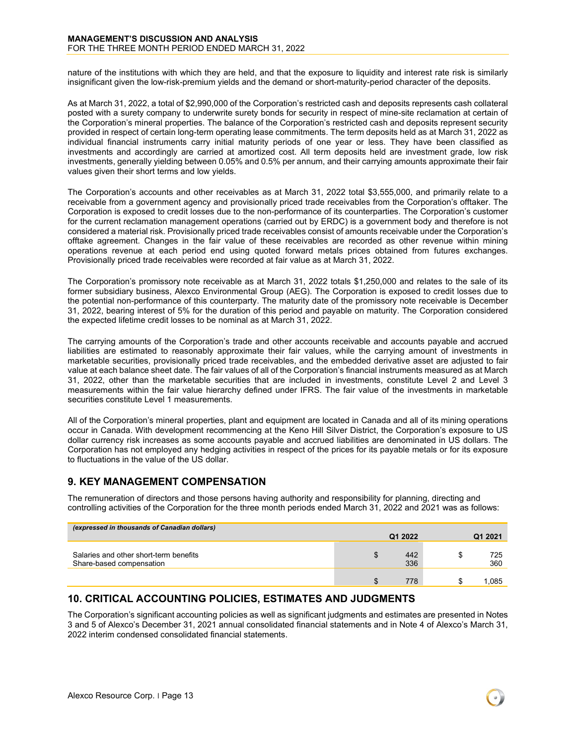nature of the institutions with which they are held, and that the exposure to liquidity and interest rate risk is similarly insignificant given the low-risk-premium yields and the demand or short-maturity-period character of the deposits.

As at March 31, 2022, a total of \$2,990,000 of the Corporation's restricted cash and deposits represents cash collateral posted with a surety company to underwrite surety bonds for security in respect of mine-site reclamation at certain of the Corporation's mineral properties. The balance of the Corporation's restricted cash and deposits represent security provided in respect of certain long-term operating lease commitments. The term deposits held as at March 31, 2022 as individual financial instruments carry initial maturity periods of one year or less. They have been classified as investments and accordingly are carried at amortized cost. All term deposits held are investment grade, low risk investments, generally yielding between 0.05% and 0.5% per annum, and their carrying amounts approximate their fair values given their short terms and low yields.

The Corporation's accounts and other receivables as at March 31, 2022 total \$3,555,000, and primarily relate to a receivable from a government agency and provisionally priced trade receivables from the Corporation's offtaker. The Corporation is exposed to credit losses due to the non-performance of its counterparties. The Corporation's customer for the current reclamation management operations (carried out by ERDC) is a government body and therefore is not considered a material risk. Provisionally priced trade receivables consist of amounts receivable under the Corporation's offtake agreement. Changes in the fair value of these receivables are recorded as other revenue within mining operations revenue at each period end using quoted forward metals prices obtained from futures exchanges. Provisionally priced trade receivables were recorded at fair value as at March 31, 2022.

The Corporation's promissory note receivable as at March 31, 2022 totals \$1,250,000 and relates to the sale of its former subsidiary business, Alexco Environmental Group (AEG). The Corporation is exposed to credit losses due to the potential non-performance of this counterparty. The maturity date of the promissory note receivable is December 31, 2022, bearing interest of 5% for the duration of this period and payable on maturity. The Corporation considered the expected lifetime credit losses to be nominal as at March 31, 2022.

The carrying amounts of the Corporation's trade and other accounts receivable and accounts payable and accrued liabilities are estimated to reasonably approximate their fair values, while the carrying amount of investments in marketable securities, provisionally priced trade receivables, and the embedded derivative asset are adjusted to fair value at each balance sheet date. The fair values of all of the Corporation's financial instruments measured as at March 31, 2022, other than the marketable securities that are included in investments, constitute Level 2 and Level 3 measurements within the fair value hierarchy defined under IFRS. The fair value of the investments in marketable securities constitute Level 1 measurements.

All of the Corporation's mineral properties, plant and equipment are located in Canada and all of its mining operations occur in Canada. With development recommencing at the Keno Hill Silver District, the Corporation's exposure to US dollar currency risk increases as some accounts payable and accrued liabilities are denominated in US dollars. The Corporation has not employed any hedging activities in respect of the prices for its payable metals or for its exposure to fluctuations in the value of the US dollar.

### <span id="page-12-0"></span>**9. KEY MANAGEMENT COMPENSATION**

The remuneration of directors and those persons having authority and responsibility for planning, directing and controlling activities of the Corporation for the three month periods ended March 31, 2022 and 2021 was as follows:

| (expressed in thousands of Canadian dollars)                       |         |            |  |            |  |  |  |  |  |
|--------------------------------------------------------------------|---------|------------|--|------------|--|--|--|--|--|
|                                                                    | Q1 2022 |            |  | Q1 2021    |  |  |  |  |  |
| Salaries and other short-term benefits<br>Share-based compensation |         | 442<br>336 |  | 725<br>360 |  |  |  |  |  |
|                                                                    |         | 778        |  | 1.085      |  |  |  |  |  |

# <span id="page-12-1"></span>**10. CRITICAL ACCOUNTING POLICIES, ESTIMATES AND JUDGMENTS**

The Corporation's significant accounting policies as well as significant judgments and estimates are presented in Notes 3 and 5 of Alexco's December 31, 2021 annual consolidated financial statements and in Note 4 of Alexco's March 31, 2022 interim condensed consolidated financial statements.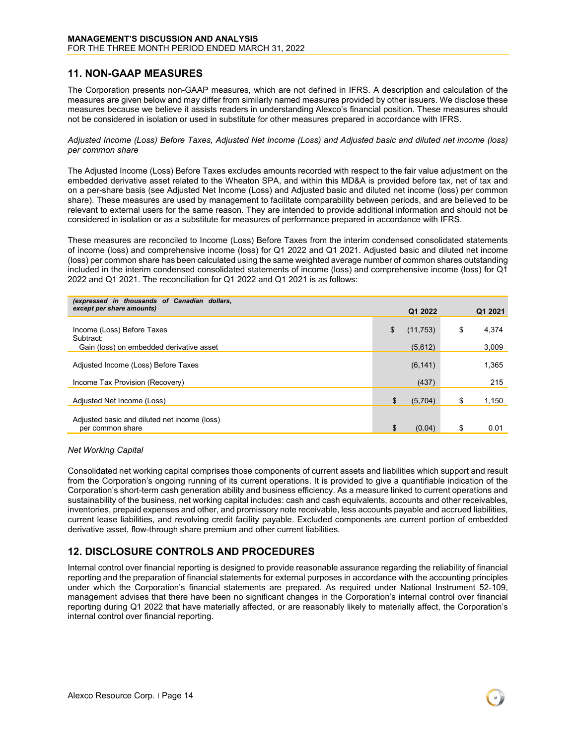### <span id="page-13-0"></span>**11. NON-GAAP MEASURES**

The Corporation presents non-GAAP measures, which are not defined in IFRS. A description and calculation of the measures are given below and may differ from similarly named measures provided by other issuers. We disclose these measures because we believe it assists readers in understanding Alexco's financial position. These measures should not be considered in isolation or used in substitute for other measures prepared in accordance with IFRS.

*Adjusted Income (Loss) Before Taxes, Adjusted Net Income (Loss) and Adjusted basic and diluted net income (loss) per common share*

The Adjusted Income (Loss) Before Taxes excludes amounts recorded with respect to the fair value adjustment on the embedded derivative asset related to the Wheaton SPA, and within this MD&A is provided before tax, net of tax and on a per-share basis (see Adjusted Net Income (Loss) and Adjusted basic and diluted net income (loss) per common share). These measures are used by management to facilitate comparability between periods, and are believed to be relevant to external users for the same reason. They are intended to provide additional information and should not be considered in isolation or as a substitute for measures of performance prepared in accordance with IFRS.

These measures are reconciled to Income (Loss) Before Taxes from the interim condensed consolidated statements of income (loss) and comprehensive income (loss) for Q1 2022 and Q1 2021. Adjusted basic and diluted net income (loss) per common share has been calculated using the same weighted average number of common shares outstanding included in the interim condensed consolidated statements of income (loss) and comprehensive income (loss) for Q1 2022 and Q1 2021. The reconciliation for Q1 2022 and Q1 2021 is as follows:

| (expressed in thousands of Canadian dollars, |                 |             |
|----------------------------------------------|-----------------|-------------|
| except per share amounts)                    | Q1 2022         | Q1 2021     |
|                                              |                 |             |
| Income (Loss) Before Taxes<br>Subtract:      | \$<br>(11, 753) | \$<br>4,374 |
| Gain (loss) on embedded derivative asset     | (5,612)         | 3,009       |
| Adjusted Income (Loss) Before Taxes          | (6, 141)        | 1,365       |
|                                              |                 |             |
| Income Tax Provision (Recovery)              | (437)           | 215         |
|                                              |                 |             |
| Adjusted Net Income (Loss)                   | \$<br>(5,704)   | \$<br>1,150 |
| Adjusted basic and diluted net income (loss) |                 |             |
| per common share                             | (0.04)          | \$<br>0.01  |

*Net Working Capital*

Consolidated net working capital comprises those components of current assets and liabilities which support and result from the Corporation's ongoing running of its current operations. It is provided to give a quantifiable indication of the Corporation's short-term cash generation ability and business efficiency. As a measure linked to current operations and sustainability of the business, net working capital includes: cash and cash equivalents, accounts and other receivables, inventories, prepaid expenses and other, and promissory note receivable, less accounts payable and accrued liabilities, current lease liabilities, and revolving credit facility payable. Excluded components are current portion of embedded derivative asset, flow-through share premium and other current liabilities.

# <span id="page-13-1"></span>**12. DISCLOSURE CONTROLS AND PROCEDURES**

Internal control over financial reporting is designed to provide reasonable assurance regarding the reliability of financial reporting and the preparation of financial statements for external purposes in accordance with the accounting principles under which the Corporation's financial statements are prepared. As required under National Instrument 52-109, management advises that there have been no significant changes in the Corporation's internal control over financial reporting during Q1 2022 that have materially affected, or are reasonably likely to materially affect, the Corporation's internal control over financial reporting.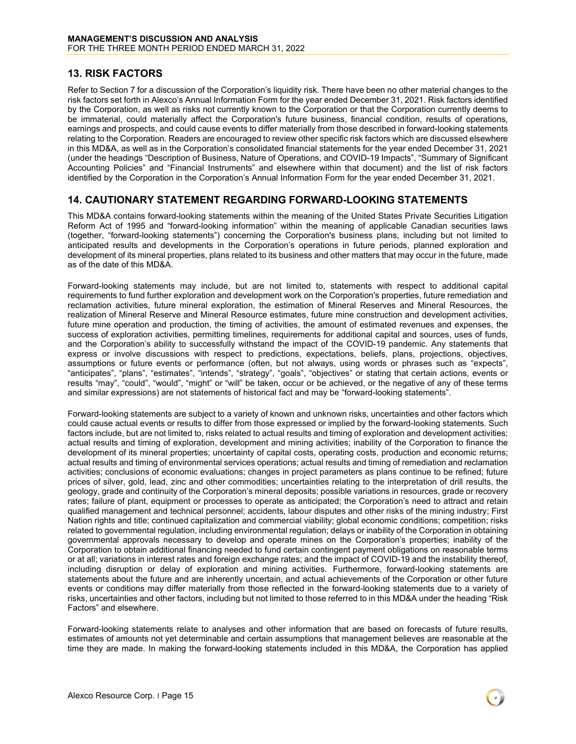### <span id="page-14-0"></span>**13. RISK FACTORS**

Refer to Section 7 for a discussion of the Corporation's liquidity risk. There have been no other material changes to the risk factors set forth in Alexco's Annual Information Form for the year ended December 31, 2021. Risk factors identified by the Corporation, as well as risks not currently known to the Corporation or that the Corporation currently deems to be immaterial, could materially affect the Corporation's future business, financial condition, results of operations, earnings and prospects, and could cause events to differ materially from those described in forward-looking statements relating to the Corporation. Readers are encouraged to review other specific risk factors which are discussed elsewhere in this MD&A, as well as in the Corporation's consolidated financial statements for the year ended December 31, 2021 (under the headings "Description of Business, Nature of Operations, and COVID-19 Impacts", "Summary of Significant Accounting Policies" and "Financial Instruments" and elsewhere within that document) and the list of risk factors identified by the Corporation in the Corporation's Annual Information Form for the year ended December 31, 2021.

### <span id="page-14-1"></span>**14. CAUTIONARY STATEMENT REGARDING FORWARD-LOOKING STATEMENTS**

This MD&A contains forward-looking statements within the meaning of the United States Private Securities Litigation Reform Act of 1995 and "forward-looking information" within the meaning of applicable Canadian securities laws (together, "forward-looking statements") concerning the Corporation's business plans, including but not limited to anticipated results and developments in the Corporation's operations in future periods, planned exploration and development of its mineral properties, plans related to its business and other matters that may occur in the future, made as of the date of this MD&A.

Forward-looking statements may include, but are not limited to, statements with respect to additional capital requirements to fund further exploration and development work on the Corporation's properties, future remediation and reclamation activities, future mineral exploration, the estimation of Mineral Reserves and Mineral Resources, the realization of Mineral Reserve and Mineral Resource estimates, future mine construction and development activities, future mine operation and production, the timing of activities, the amount of estimated revenues and expenses, the success of exploration activities, permitting timelines, requirements for additional capital and sources, uses of funds, and the Corporation's ability to successfully withstand the impact of the COVID-19 pandemic. Any statements that express or involve discussions with respect to predictions, expectations, beliefs, plans, projections, objectives, assumptions or future events or performance (often, but not always, using words or phrases such as "expects", "anticipates", "plans", "estimates", "intends", "strategy", "goals", "objectives" or stating that certain actions, events or results "may", "could", "would", "might" or "will" be taken, occur or be achieved, or the negative of any of these terms and similar expressions) are not statements of historical fact and may be "forward-looking statements".

Forward-looking statements are subject to a variety of known and unknown risks, uncertainties and other factors which could cause actual events or results to differ from those expressed or implied by the forward-looking statements. Such factors include, but are not limited to, risks related to actual results and timing of exploration and development activities; actual results and timing of exploration, development and mining activities; inability of the Corporation to finance the development of its mineral properties; uncertainty of capital costs, operating costs, production and economic returns; actual results and timing of environmental services operations; actual results and timing of remediation and reclamation activities; conclusions of economic evaluations; changes in project parameters as plans continue to be refined; future prices of silver, gold, lead, zinc and other commodities; uncertainties relating to the interpretation of drill results, the geology, grade and continuity of the Corporation's mineral deposits; possible variations in resources, grade or recovery rates; failure of plant, equipment or processes to operate as anticipated; the Corporation's need to attract and retain qualified management and technical personnel; accidents, labour disputes and other risks of the mining industry; First Nation rights and title; continued capitalization and commercial viability; global economic conditions; competition; risks related to governmental regulation, including environmental regulation; delays or inability of the Corporation in obtaining governmental approvals necessary to develop and operate mines on the Corporation's properties; inability of the Corporation to obtain additional financing needed to fund certain contingent payment obligations on reasonable terms or at all; variations in interest rates and foreign exchange rates; and the impact of COVID-19 and the instability thereof, including disruption or delay of exploration and mining activities. Furthermore, forward-looking statements are statements about the future and are inherently uncertain, and actual achievements of the Corporation or other future events or conditions may differ materially from those reflected in the forward-looking statements due to a variety of risks, uncertainties and other factors, including but not limited to those referred to in this MD&A under the heading "Risk Factors" and elsewhere.

Forward-looking statements relate to analyses and other information that are based on forecasts of future results, estimates of amounts not yet determinable and certain assumptions that management believes are reasonable at the time they are made. In making the forward-looking statements included in this MD&A, the Corporation has applied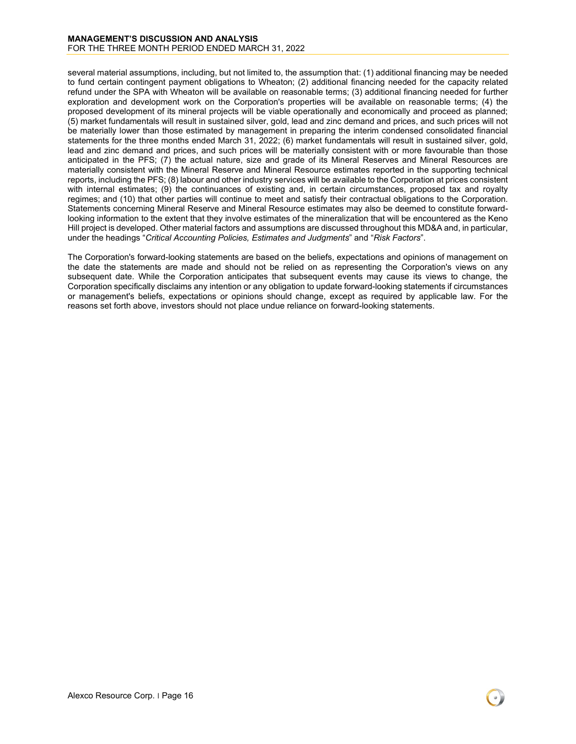several material assumptions, including, but not limited to, the assumption that: (1) additional financing may be needed to fund certain contingent payment obligations to Wheaton; (2) additional financing needed for the capacity related refund under the SPA with Wheaton will be available on reasonable terms; (3) additional financing needed for further exploration and development work on the Corporation's properties will be available on reasonable terms; (4) the proposed development of its mineral projects will be viable operationally and economically and proceed as planned; (5) market fundamentals will result in sustained silver, gold, lead and zinc demand and prices, and such prices will not be materially lower than those estimated by management in preparing the interim condensed consolidated financial statements for the three months ended March 31, 2022; (6) market fundamentals will result in sustained silver, gold, lead and zinc demand and prices, and such prices will be materially consistent with or more favourable than those anticipated in the PFS; (7) the actual nature, size and grade of its Mineral Reserves and Mineral Resources are materially consistent with the Mineral Reserve and Mineral Resource estimates reported in the supporting technical reports, including the PFS; (8) labour and other industry services will be available to the Corporation at prices consistent with internal estimates; (9) the continuances of existing and, in certain circumstances, proposed tax and royalty regimes; and (10) that other parties will continue to meet and satisfy their contractual obligations to the Corporation. Statements concerning Mineral Reserve and Mineral Resource estimates may also be deemed to constitute forwardlooking information to the extent that they involve estimates of the mineralization that will be encountered as the Keno Hill project is developed. Other material factors and assumptions are discussed throughout this MD&A and, in particular, under the headings "*Critical Accounting Policies, Estimates and Judgments*" and "*Risk Factors*".

The Corporation's forward-looking statements are based on the beliefs, expectations and opinions of management on the date the statements are made and should not be relied on as representing the Corporation's views on any subsequent date. While the Corporation anticipates that subsequent events may cause its views to change, the Corporation specifically disclaims any intention or any obligation to update forward-looking statements if circumstances or management's beliefs, expectations or opinions should change, except as required by applicable law. For the reasons set forth above, investors should not place undue reliance on forward-looking statements.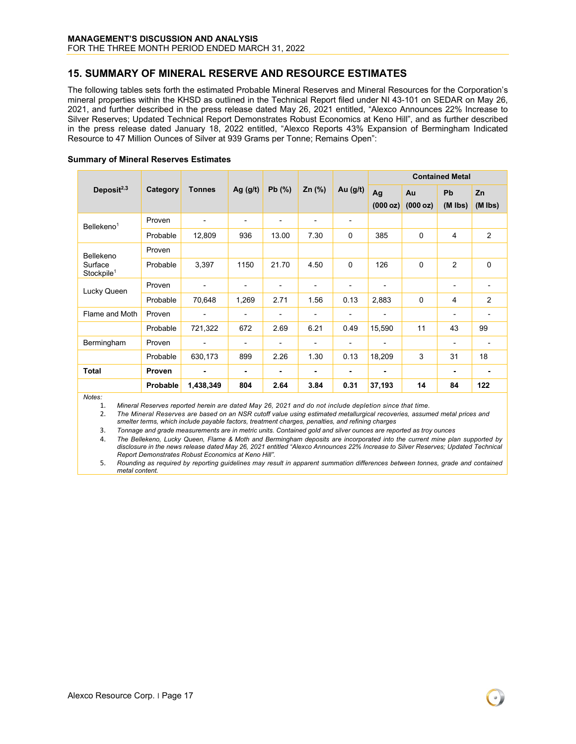# **MANAGEMENT'S DISCUSSION AND ANALYSIS**

FOR THE THREE MONTH PERIOD ENDED MARCH 31, 2022

### <span id="page-16-0"></span>**15. SUMMARY OF MINERAL RESERVE AND RESOURCE ESTIMATES**

The following tables sets forth the estimated Probable Mineral Reserves and Mineral Resources for the Corporation's mineral properties within the KHSD as outlined in the Technical Report filed under NI 43-101 on SEDAR on May 26, 2021, and further described in the press release dated May 26, 2021 entitled, "Alexco Announces 22% Increase to Silver Reserves; Updated Technical Report Demonstrates Robust Economics at Keno Hill", and as further described in the press release dated January 18, 2022 entitled, "Alexco Reports 43% Expansion of Bermingham Indicated Resource to 47 Million Ounces of Silver at 939 Grams per Tonne; Remains Open":

|                                   |               |                          |                |                              | <b>Contained Metal</b> |                          |                |             |           |                |
|-----------------------------------|---------------|--------------------------|----------------|------------------------------|------------------------|--------------------------|----------------|-------------|-----------|----------------|
| Deposit $2,3$                     | Category      | <b>Tonnes</b>            | Ag $(g/t)$     | Pb(%)                        | $Zn$ (%)               | Au (g/t)                 | Ag             | Au          | Pb        | Zn             |
|                                   |               |                          |                |                              |                        |                          | (000 oz)       | (000 oz)    | $(M$ lbs) | $(M$ lbs)      |
| Bellekeno <sup>1</sup>            | Proven        | ٠                        | -              | -                            | $\blacksquare$         |                          |                |             |           |                |
|                                   | Probable      | 12,809                   | 936            | 13.00                        | 7.30                   | $\mathbf 0$              | 385            | $\mathbf 0$ | 4         | $\overline{2}$ |
| Bellekeno                         | Proven        |                          |                |                              |                        |                          |                |             |           |                |
| Surface<br>Stockpile <sup>1</sup> | Probable      | 3,397                    | 1150           | 21.70                        | 4.50                   | $\Omega$                 | 126            | $\Omega$    | 2         | $\mathbf 0$    |
| Lucky Queen                       | Proven        | $\overline{\phantom{a}}$ | -              | -                            | $\blacksquare$         | $\overline{\phantom{a}}$ |                |             |           |                |
|                                   | Probable      | 70,648                   | 1,269          | 2.71                         | 1.56                   | 0.13                     | 2,883          | $\mathbf 0$ | 4         | 2              |
| Flame and Moth                    | Proven        | $\blacksquare$           | ۰              | $\qquad \qquad \blacksquare$ | ٠                      | $\blacksquare$           | $\blacksquare$ |             | -         |                |
|                                   | Probable      | 721,322                  | 672            | 2.69                         | 6.21                   | 0.49                     | 15,590         | 11          | 43        | 99             |
| Bermingham                        | Proven        | $\overline{\phantom{a}}$ | $\overline{a}$ | -                            | $\blacksquare$         | $\overline{\phantom{a}}$ | $\blacksquare$ |             |           |                |
|                                   | Probable      | 630,173                  | 899            | 2.26                         | 1.30                   | 0.13                     | 18,209         | 3           | 31        | 18             |
| <b>Total</b>                      | <b>Proven</b> | $\blacksquare$           | ٠              | ۰                            | $\blacksquare$         | $\blacksquare$           | ٠              |             | ۰         |                |
|                                   | Probable      | 1,438,349                | 804            | 2.64                         | 3.84                   | 0.31                     | 37,193         | 14          | 84        | 122            |

#### **Summary of Mineral Reserves Estimates**

*Notes:*

1. *Mineral Reserves reported herein are dated May 26, 2021 and do not include depletion since that time.* 

2. *The Mineral Reserves are based on an NSR cutoff value using estimated metallurgical recoveries, assumed metal prices and smelter terms, which include payable factors, treatment charges, penalties, and refining charges*

3. *Tonnage and grade measurements are in metric units. Contained gold and silver ounces are reported as troy ounces*

4. The Bellekeno, Lucky Queen, Flame & Moth and Bermingham deposits are incorporated into the current mine plan supported by *disclosure in the news release dated May 26, 2021 entitled "Alexco Announces 22% Increase to Silver Reserves; Updated Technical Report Demonstrates Robust Economics at Keno Hill".*

5. *Rounding as required by reporting guidelines may result in apparent summation differences between tonnes, grade and contained metal content.*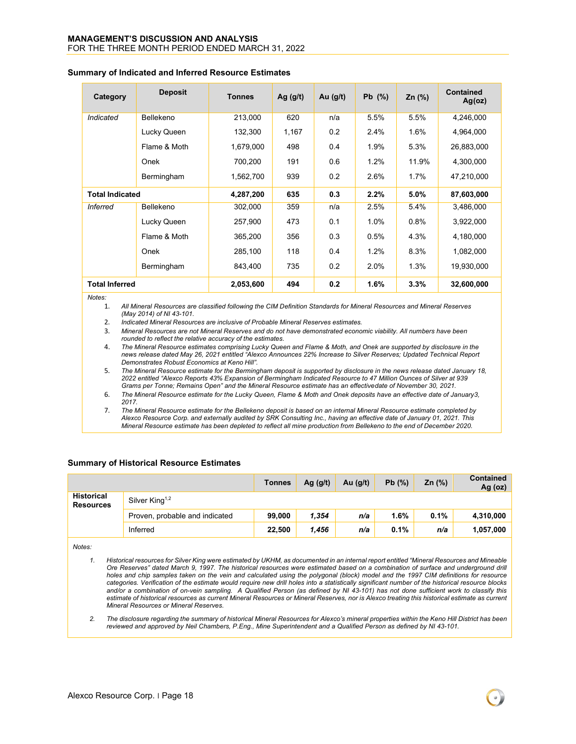| Category               | <b>Deposit</b> | <b>Tonnes</b> | Ag $(g/t)$ | Au $(g/t)$ | $Pb$ (%) | $Zn$ (%) | <b>Contained</b><br>Ag(oz) |
|------------------------|----------------|---------------|------------|------------|----------|----------|----------------------------|
| Indicated              | Bellekeno      | 213,000       | 620        | n/a        | 5.5%     | 5.5%     | 4,246,000                  |
|                        | Lucky Queen    | 132,300       | 1,167      | 0.2        | 2.4%     | 1.6%     | 4,964,000                  |
|                        | Flame & Moth   | 1,679,000     | 498        | 0.4        | 1.9%     | 5.3%     | 26,883,000                 |
|                        | Onek           | 700,200       | 191        | 0.6        | 1.2%     | 11.9%    | 4,300,000                  |
|                        | Bermingham     | 1,562,700     | 939        | 0.2        | 2.6%     | 1.7%     | 47,210,000                 |
| <b>Total Indicated</b> |                | 4,287,200     | 635        | 0.3        | 2.2%     | $5.0\%$  | 87,603,000                 |
| <b>Inferred</b>        | Bellekeno      | 302,000       | 359        | n/a        | 2.5%     | 5.4%     | 3,486,000                  |
|                        | Lucky Queen    | 257,900       | 473        | 0.1        | 1.0%     | 0.8%     | 3,922,000                  |
|                        | Flame & Moth   | 365,200       | 356        | 0.3        | 0.5%     | 4.3%     | 4,180,000                  |
|                        | Onek           | 285,100       | 118        | 0.4        | 1.2%     | 8.3%     | 1,082,000                  |
|                        | Bermingham     | 843,400       | 735        | 0.2        | 2.0%     | 1.3%     | 19,930,000                 |
| <b>Total Inferred</b>  |                | 2,053,600     | 494        | 0.2        | 1.6%     | 3.3%     | 32,600,000                 |

#### **Summary of Indicated and Inferred Resource Estimates**

*Notes:*

1. *All Mineral Resources are classified following the CIM Definition Standards for Mineral Resources and Mineral Reserves (May 2014) of NI 43-101.*

- 2. *Indicated Mineral Resources are inclusive of Probable Mineral Reserves estimates.*
- 3. *Mineral Resources are not Mineral Reserves and do not have demonstrated economic viability. All numbers have been rounded to reflect the relative accuracy of the estimates.*

4. *The Mineral Resource estimates comprising Lucky Queen and Flame & Moth, and Onek are supported by disclosure in the news release dated May 26, 2021 entitled "Alexco Announces 22% Increase to Silver Reserves; Updated Technical Report Demonstrates Robust Economics at Keno Hill".*

5. *The Mineral Resource estimate for the Bermingham deposit is supported by disclosure in the news release dated January 18, 2022 entitled "Alexco Reports 43% Expansion of Bermingham Indicated Resource to 47 Million Ounces of Silver at 939 Grams per Tonne; Remains Open" and the Mineral Resource estimate has an effectivedate of November 30, 2021.* 

- 6. *The Mineral Resource estimate for the Lucky Queen, Flame & Moth and Onek deposits have an effective date of January3, 2017.*
- 7. *The Mineral Resource estimate for the Bellekeno deposit is based on an internal Mineral Resource estimate completed by Alexco Resource Corp. and externally audited by SRK Consulting Inc., having an effective date of January 01, 2021. This* Mineral Resource estimate has been depleted to reflect all mine production from Bellekeno to the end of December 2020.

#### **Summary of Historical Resource Estimates**

|                                       |                                | <b>Tonnes</b> | Ag $(g/t)$ | Au $(g/t)$ | Pb(%) | Zn $(%)$ | <b>Contained</b><br>Ag $(oz)$ |
|---------------------------------------|--------------------------------|---------------|------------|------------|-------|----------|-------------------------------|
| <b>Historical</b><br><b>Resources</b> | Silver King <sup>1,2</sup>     |               |            |            |       |          |                               |
|                                       | Proven, probable and indicated | 99,000        | 1,354      | n/a        | 1.6%  | 0.1%     | 4,310,000                     |
|                                       | Inferred                       | 22,500        | 1.456      | n/a        | 0.1%  | n/a      | 1,057,000                     |

*Notes:*

*1. Historical resources for Silver King were estimated by UKHM, as documented in an internal report entitled "Mineral Resources and Mineable Ore Reserves" dated March 9, 1997. The historical resources were estimated based on a combination of surface and underground drill holes and chip samples taken on the vein and calculated using the polygonal (block) model and the 1997 CIM definitions for resource categories. Verification of the estimate would require new drill holes into a statistically significant number of the historical resource blocks and/or a combination of on-vein sampling. A Qualified Person (as defined by NI 43-101) has not done sufficient work to classify this estimate of historical resources as current Mineral Resources or Mineral Reserves, nor is Alexco treating this historical estimate as current Mineral Resources or Mineral Reserves.* 

*2. The disclosure regarding the summary of historical Mineral Resources for Alexco's mineral properties within the Keno Hill District has been reviewed and approved by Neil Chambers, P.Eng., Mine Superintendent and a Qualified Person as defined by NI 43-101.*